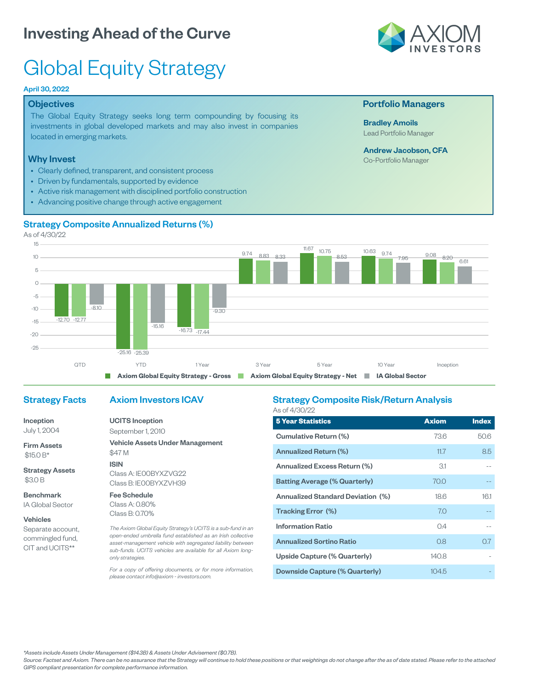# Investing Ahead of the Curve



# Global Equity Strategy

#### April 30, 2022

#### **Objectives**

The Global Equity Strategy seeks long term compounding by focusing its investments in global developed markets and may also invest in companies located in emerging markets.

#### Why Invest

- Clearly defined, transparent, and consistent process
- Driven by fundamentals, supported by evidence
- Active risk management with disciplined portfolio construction
- Advancing positive change through active engagement

#### Strategy Composite Annualized Returns (%)

As of 4/30/22



### Strategy Facts

Inception July 1, 2004

Firm Assets \$15.0 B\*

Strategy Assets \$3.0 B

Benchmark IA Global Sector

#### Vehicles

Separate account, commingled fund, CIT and UCITS\*\*

## Axiom Investors ICAV

UCITS Inception September 1, 2010

Vehicle Assets Under Management \$47 M ISIN Class A: IE00BYXZVG22

Class B: IE00BYXZVH39

Fee Schedule Class A: 0.80% Class B: 0.70%

*The Axiom Global Equity Strategy's UCITS is a sub-fund in an open-ended umbrella fund established as an Irish collective asset-management vehicle with segregated liability between sub-funds. UCITS vehicles are available for all Axiom longonly strategies.*

*For a copy of offering documents, or for more information, please contact info@axiom - investors.com.*

#### Strategy Composite Risk/Return Analysis As of 4/30/22

| <b>5 Year Statistics</b>                 | <b>Axiom</b> | <b>Index</b> |
|------------------------------------------|--------------|--------------|
| Cumulative Return (%)                    | 73.6         | 50.6         |
| Annualized Return (%)                    | 11.7         | 8.5          |
| Annualized Excess Return (%)             | 31           |              |
| <b>Batting Average (% Quarterly)</b>     | 70.0         |              |
| <b>Annualized Standard Deviation (%)</b> | 18.6         | 16.1         |
| Tracking Error (%)                       | 7.0          |              |
| <b>Information Ratio</b>                 | 0.4          |              |
| <b>Annualized Sortino Ratio</b>          | 0.8          | 0.7          |
| Upside Capture (% Quarterly)             | 140.8        |              |
| Downside Capture (% Quarterly)           | 104.5        |              |

*\*Assets include Assets Under Management (\$14.3B) & Assets Under Advisement (\$0.7B).*

*Source: Factset and Axiom. There can be no assurance that the Strategy will continue to hold these positions or that weightings do not change after the as of date stated. Please refer to the attached GIPS compliant presentation for complete performance information.*

### Portfolio Managers

Bradley Amoils Lead Portfolio Manager

## Andrew Jacobson, CFA

Co-Portfolio Manager